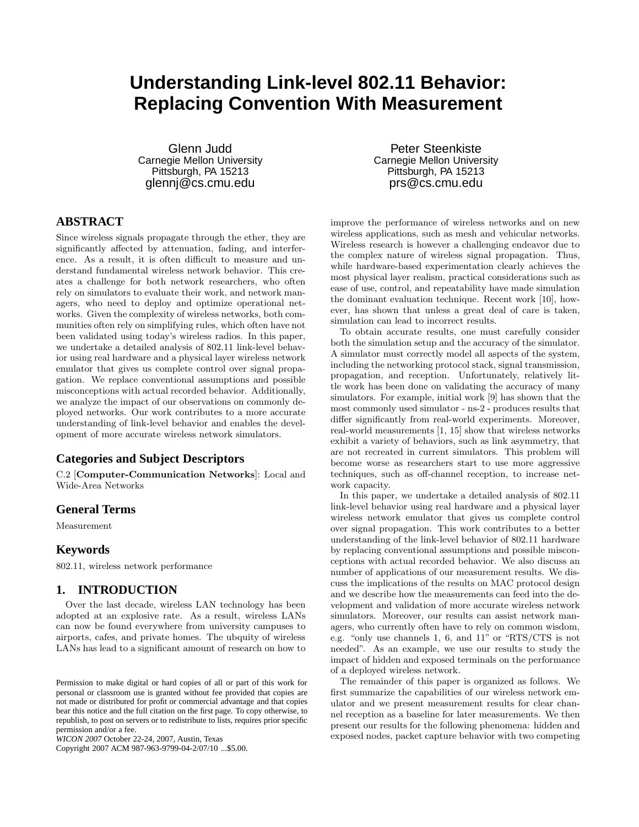# **Understanding Link-level 802.11 Behavior: Replacing Convention With Measurement**

Glenn Judd Carnegie Mellon University Pittsburgh, PA 15213 glennj@cs.cmu.edu

## **ABSTRACT**

Since wireless signals propagate through the ether, they are significantly affected by attenuation, fading, and interference. As a result, it is often difficult to measure and understand fundamental wireless network behavior. This creates a challenge for both network researchers, who often rely on simulators to evaluate their work, and network managers, who need to deploy and optimize operational networks. Given the complexity of wireless networks, both communities often rely on simplifying rules, which often have not been validated using today's wireless radios. In this paper, we undertake a detailed analysis of 802.11 link-level behavior using real hardware and a physical layer wireless network emulator that gives us complete control over signal propagation. We replace conventional assumptions and possible misconceptions with actual recorded behavior. Additionally, we analyze the impact of our observations on commonly deployed networks. Our work contributes to a more accurate understanding of link-level behavior and enables the development of more accurate wireless network simulators.

## **Categories and Subject Descriptors**

C.2 [**Computer-Communication Networks**]: Local and Wide-Area Networks

#### **General Terms**

Measurement

## **Keywords**

802.11, wireless network performance

#### **1. INTRODUCTION**

Over the last decade, wireless LAN technology has been adopted at an explosive rate. As a result, wireless LANs can now be found everywhere from university campuses to airports, cafes, and private homes. The ubquity of wireless LANs has lead to a significant amount of research on how to

Copyright 2007 ACM 987-963-9799-04-2/07/10 ...\$5.00.

Peter Steenkiste Carnegie Mellon University Pittsburgh, PA 15213 prs@cs.cmu.edu

improve the performance of wireless networks and on new wireless applications, such as mesh and vehicular networks. Wireless research is however a challenging endeavor due to the complex nature of wireless signal propagation. Thus, while hardware-based experimentation clearly achieves the most physical layer realism, practical considerations such as ease of use, control, and repeatability have made simulation the dominant evaluation technique. Recent work [10], however, has shown that unless a great deal of care is taken, simulation can lead to incorrect results.

To obtain accurate results, one must carefully consider both the simulation setup and the accuracy of the simulator. A simulator must correctly model all aspects of the system, including the networking protocol stack, signal transmission, propagation, and reception. Unfortunately, relatively little work has been done on validating the accuracy of many simulators. For example, initial work [9] has shown that the most commonly used simulator - ns-2 - produces results that differ significantly from real-world experiments. Moreover, real-world measurements [1, 15] show that wireless networks exhibit a variety of behaviors, such as link asymmetry, that are not recreated in current simulators. This problem will become worse as researchers start to use more aggressive techniques, such as off-channel reception, to increase network capacity.

In this paper, we undertake a detailed analysis of 802.11 link-level behavior using real hardware and a physical layer wireless network emulator that gives us complete control over signal propagation. This work contributes to a better understanding of the link-level behavior of 802.11 hardware by replacing conventional assumptions and possible misconceptions with actual recorded behavior. We also discuss an number of applications of our measurement results. We discuss the implications of the results on MAC protocol design and we describe how the measurements can feed into the development and validation of more accurate wireless network simulators. Moreover, our results can assist network managers, who currently often have to rely on common wisdom, e.g. "only use channels 1, 6, and 11" or "RTS/CTS is not needed". As an example, we use our results to study the impact of hidden and exposed terminals on the performance of a deployed wireless network.

The remainder of this paper is organized as follows. We first summarize the capabilities of our wireless network emulator and we present measurement results for clear channel reception as a baseline for later measurements. We then present our results for the following phenomena: hidden and exposed nodes, packet capture behavior with two competing

Permission to make digital or hard copies of all or part of this work for personal or classroom use is granted without fee provided that copies are not made or distributed for profit or commercial advantage and that copies bear this notice and the full citation on the first page. To copy otherwise, to republish, to post on servers or to redistribute to lists, requires prior specific permission and/or a fee.

*WICON 2007* October 22-24, 2007, Austin, Texas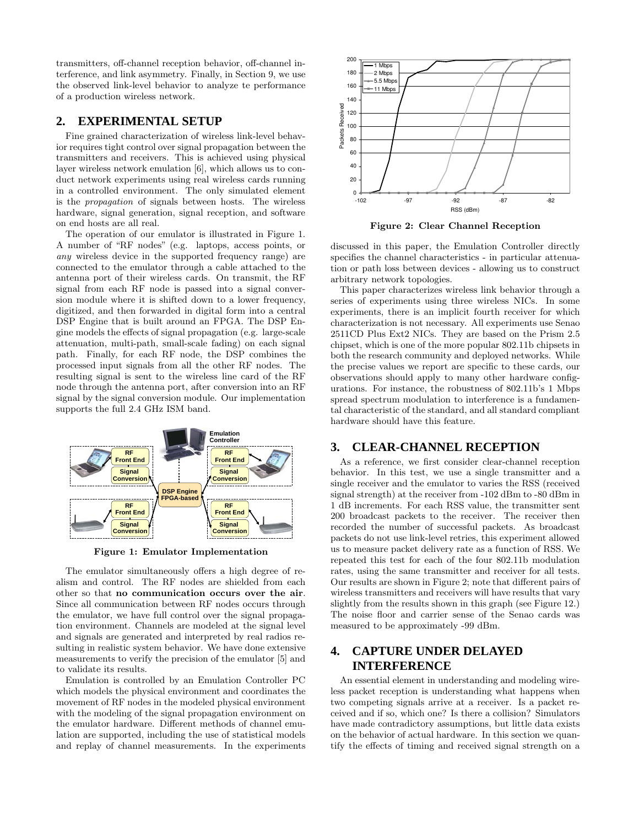transmitters, off-channel reception behavior, off-channel interference, and link asymmetry. Finally, in Section 9, we use the observed link-level behavior to analyze te performance of a production wireless network.

## **2. EXPERIMENTAL SETUP**

Fine grained characterization of wireless link-level behavior requires tight control over signal propagation between the transmitters and receivers. This is achieved using physical layer wireless network emulation [6], which allows us to conduct network experiments using real wireless cards running in a controlled environment. The only simulated element is the *propagation* of signals between hosts. The wireless hardware, signal generation, signal reception, and software on end hosts are all real.

The operation of our emulator is illustrated in Figure 1. A number of "RF nodes" (e.g. laptops, access points, or *any* wireless device in the supported frequency range) are connected to the emulator through a cable attached to the antenna port of their wireless cards. On transmit, the RF signal from each RF node is passed into a signal conversion module where it is shifted down to a lower frequency, digitized, and then forwarded in digital form into a central DSP Engine that is built around an FPGA. The DSP Engine models the effects of signal propagation (e.g. large-scale attenuation, multi-path, small-scale fading) on each signal path. Finally, for each RF node, the DSP combines the processed input signals from all the other RF nodes. The resulting signal is sent to the wireless line card of the RF node through the antenna port, after conversion into an RF signal by the signal conversion module. Our implementation supports the full 2.4 GHz ISM band.



**Figure 1: Emulator Implementation**

The emulator simultaneously offers a high degree of realism and control. The RF nodes are shielded from each other so that **no communication occurs over the air**. Since all communication between RF nodes occurs through the emulator, we have full control over the signal propagation environment. Channels are modeled at the signal level and signals are generated and interpreted by real radios resulting in realistic system behavior. We have done extensive measurements to verify the precision of the emulator [5] and to validate its results.

Emulation is controlled by an Emulation Controller PC which models the physical environment and coordinates the movement of RF nodes in the modeled physical environment with the modeling of the signal propagation environment on the emulator hardware. Different methods of channel emulation are supported, including the use of statistical models and replay of channel measurements. In the experiments



**Figure 2: Clear Channel Reception**

discussed in this paper, the Emulation Controller directly specifies the channel characteristics - in particular attenuation or path loss between devices - allowing us to construct arbitrary network topologies.

This paper characterizes wireless link behavior through a series of experiments using three wireless NICs. In some experiments, there is an implicit fourth receiver for which characterization is not necessary. All experiments use Senao 2511CD Plus Ext2 NICs. They are based on the Prism 2.5 chipset, which is one of the more popular 802.11b chipsets in both the research community and deployed networks. While the precise values we report are specific to these cards, our observations should apply to many other hardware configurations. For instance, the robustness of 802.11b's 1 Mbps spread spectrum modulation to interference is a fundamental characteristic of the standard, and all standard compliant hardware should have this feature.

## **3. CLEAR-CHANNEL RECEPTION**

As a reference, we first consider clear-channel reception behavior. In this test, we use a single transmitter and a single receiver and the emulator to varies the RSS (received signal strength) at the receiver from -102 dBm to -80 dBm in 1 dB increments. For each RSS value, the transmitter sent 200 broadcast packets to the receiver. The receiver then recorded the number of successful packets. As broadcast packets do not use link-level retries, this experiment allowed us to measure packet delivery rate as a function of RSS. We repeated this test for each of the four 802.11b modulation rates, using the same transmitter and receiver for all tests. Our results are shown in Figure 2; note that different pairs of wireless transmitters and receivers will have results that vary slightly from the results shown in this graph (see Figure 12.) The noise floor and carrier sense of the Senao cards was measured to be approximately -99 dBm.

## **4. CAPTURE UNDER DELAYED INTERFERENCE**

An essential element in understanding and modeling wireless packet reception is understanding what happens when two competing signals arrive at a receiver. Is a packet received and if so, which one? Is there a collision? Simulators have made contradictory assumptions, but little data exists on the behavior of actual hardware. In this section we quantify the effects of timing and received signal strength on a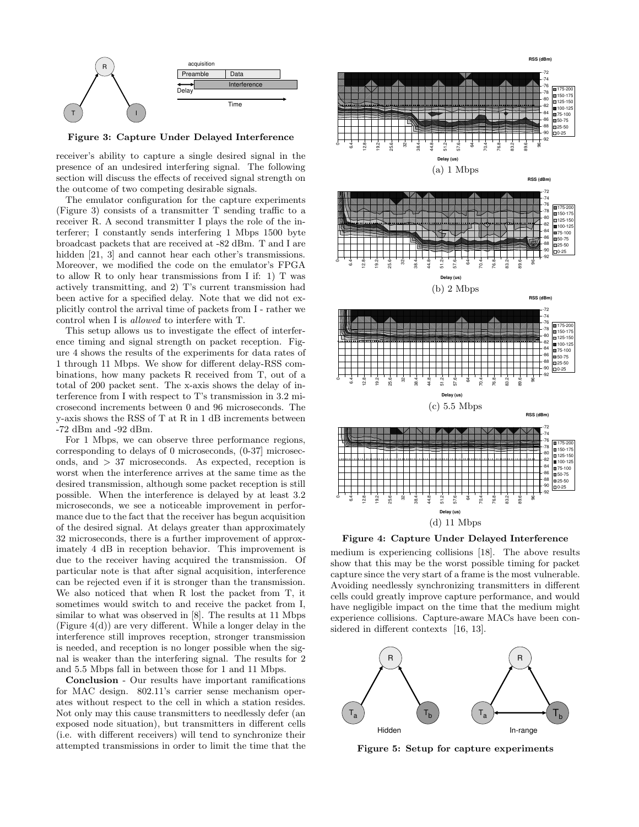

**Figure 3: Capture Under Delayed Interference**

receiver's ability to capture a single desired signal in the presence of an undesired interfering signal. The following section will discuss the effects of received signal strength on the outcome of two competing desirable signals.

The emulator configuration for the capture experiments (Figure 3) consists of a transmitter T sending traffic to a receiver R. A second transmitter I plays the role of the interferer; I constantly sends interfering 1 Mbps 1500 byte broadcast packets that are received at -82 dBm. T and I are hidden [21, 3] and cannot hear each other's transmissions. Moreover, we modified the code on the emulator's FPGA to allow R to only hear transmissions from I if: 1) T was actively transmitting, and 2) T's current transmission had been active for a specified delay. Note that we did not explicitly control the arrival time of packets from I - rather we control when I is *allowed* to interfere with T.

This setup allows us to investigate the effect of interference timing and signal strength on packet reception. Figure 4 shows the results of the experiments for data rates of 1 through 11 Mbps. We show for different delay-RSS combinations, how many packets R received from T, out of a total of 200 packet sent. The x-axis shows the delay of interference from I with respect to T's transmission in 3.2 microsecond increments between 0 and 96 microseconds. The y-axis shows the RSS of T at R in 1 dB increments between -72 dBm and -92 dBm.

For 1 Mbps, we can observe three performance regions, corresponding to delays of 0 microseconds, (0-37] microseconds, and *>* 37 microseconds. As expected, reception is worst when the interference arrives at the same time as the desired transmission, although some packet reception is still possible. When the interference is delayed by at least 3.2 microseconds, we see a noticeable improvement in performance due to the fact that the receiver has begun acquisition of the desired signal. At delays greater than approximately 32 microseconds, there is a further improvement of approximately 4 dB in reception behavior. This improvement is due to the receiver having acquired the transmission. Of particular note is that after signal acquisition, interference can be rejected even if it is stronger than the transmission. We also noticed that when R lost the packet from T, it sometimes would switch to and receive the packet from I, similar to what was observed in [8]. The results at 11 Mbps (Figure 4(d)) are very different. While a longer delay in the interference still improves reception, stronger transmission is needed, and reception is no longer possible when the signal is weaker than the interfering signal. The results for 2 and 5.5 Mbps fall in between those for 1 and 11 Mbps.

**Conclusion** - Our results have important ramifications for MAC design. 802.11's carrier sense mechanism operates without respect to the cell in which a station resides. Not only may this cause transmitters to needlessly defer (an exposed node situation), but transmitters in different cells (i.e. with different receivers) will tend to synchronize their attempted transmissions in order to limit the time that the



**Figure 4: Capture Under Delayed Interference**

medium is experiencing collisions [18]. The above results show that this may be the worst possible timing for packet capture since the very start of a frame is the most vulnerable. Avoiding needlessly synchronizing transmitters in different cells could greatly improve capture performance, and would have negligible impact on the time that the medium might experience collisions. Capture-aware MACs have been considered in different contexts [16, 13].



**Figure 5: Setup for capture experiments**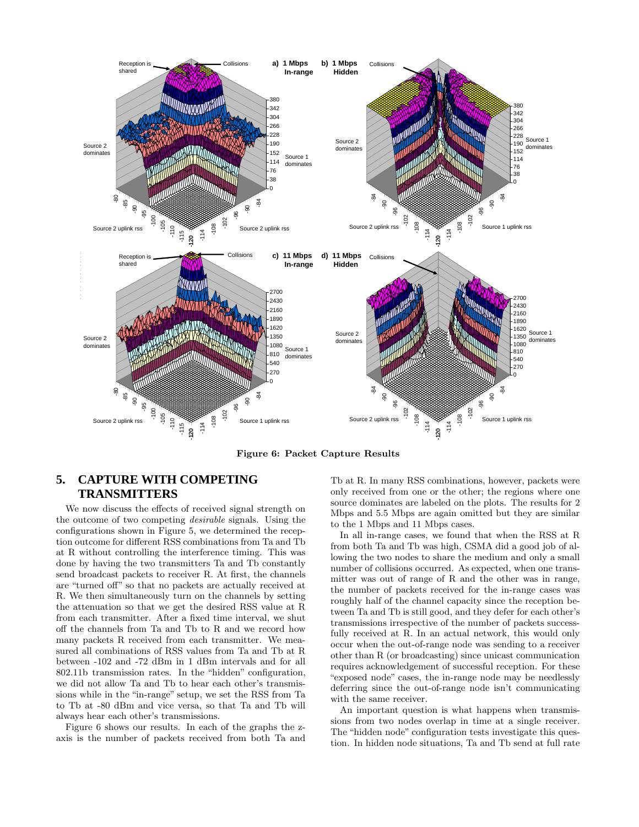

**Figure 6: Packet Capture Results**

## **5. CAPTURE WITH COMPETING TRANSMITTERS**

We now discuss the effects of received signal strength on the outcome of two competing *desirable* signals. Using the configurations shown in Figure 5, we determined the reception outcome for different RSS combinations from Ta and Tb at R without controlling the interference timing. This was done by having the two transmitters Ta and Tb constantly send broadcast packets to receiver R. At first, the channels are "turned off" so that no packets are actually received at R. We then simultaneously turn on the channels by setting the attenuation so that we get the desired RSS value at R from each transmitter. After a fixed time interval, we shut off the channels from Ta and Tb to R and we record how many packets R received from each transmitter. We measured all combinations of RSS values from Ta and Tb at R between -102 and -72 dBm in 1 dBm intervals and for all 802.11b transmission rates. In the "hidden" configuration, we did not allow Ta and Tb to hear each other's transmissions while in the "in-range" setup, we set the RSS from Ta to Tb at -80 dBm and vice versa, so that Ta and Tb will always hear each other's transmissions.

Figure 6 shows our results. In each of the graphs the zaxis is the number of packets received from both Ta and Tb at R. In many RSS combinations, however, packets were only received from one or the other; the regions where one source dominates are labeled on the plots. The results for 2 Mbps and 5.5 Mbps are again omitted but they are similar to the 1 Mbps and 11 Mbps cases.

In all in-range cases, we found that when the RSS at R from both Ta and Tb was high, CSMA did a good job of allowing the two nodes to share the medium and only a small number of collisions occurred. As expected, when one transmitter was out of range of R and the other was in range, the number of packets received for the in-range cases was roughly half of the channel capacity since the reception between Ta and Tb is still good, and they defer for each other's transmissions irrespective of the number of packets successfully received at R. In an actual network, this would only occur when the out-of-range node was sending to a receiver other than R (or broadcasting) since unicast communication requires acknowledgement of successful reception. For these "exposed node" cases, the in-range node may be needlessly deferring since the out-of-range node isn't communicating with the same receiver.

An important question is what happens when transmissions from two nodes overlap in time at a single receiver. The "hidden node" configuration tests investigate this question. In hidden node situations, Ta and Tb send at full rate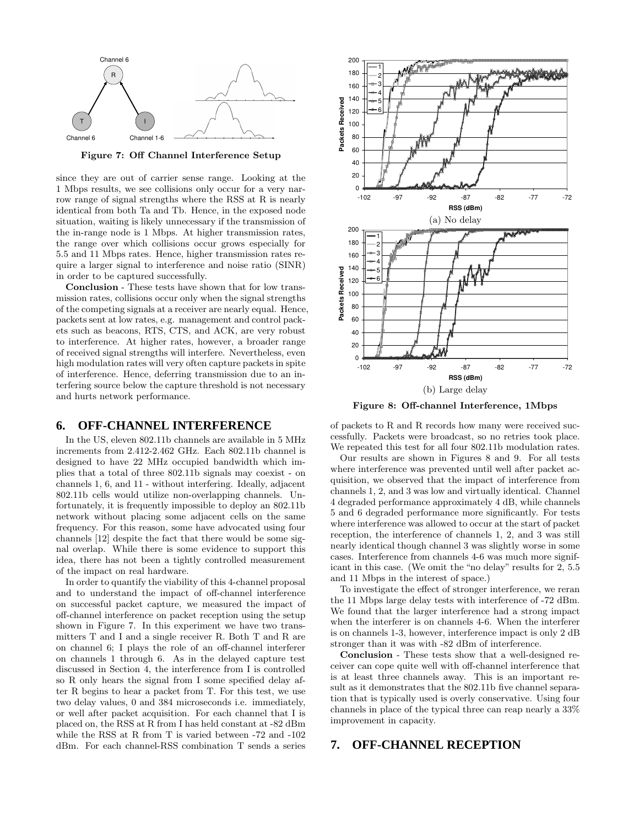

**Figure 7: Off Channel Interference Setup**

since they are out of carrier sense range. Looking at the 1 Mbps results, we see collisions only occur for a very narrow range of signal strengths where the RSS at R is nearly identical from both Ta and Tb. Hence, in the exposed node situation, waiting is likely unnecessary if the transmission of the in-range node is 1 Mbps. At higher transmission rates, the range over which collisions occur grows especially for 5.5 and 11 Mbps rates. Hence, higher transmission rates require a larger signal to interference and noise ratio (SINR) in order to be captured successfully.

**Conclusion** - These tests have shown that for low transmission rates, collisions occur only when the signal strengths of the competing signals at a receiver are nearly equal. Hence, packets sent at low rates, e.g. management and control packets such as beacons, RTS, CTS, and ACK, are very robust to interference. At higher rates, however, a broader range of received signal strengths will interfere. Nevertheless, even high modulation rates will very often capture packets in spite of interference. Hence, deferring transmission due to an interfering source below the capture threshold is not necessary and hurts network performance.

#### **6. OFF-CHANNEL INTERFERENCE**

In the US, eleven 802.11b channels are available in 5 MHz increments from 2.412-2.462 GHz. Each 802.11b channel is designed to have 22 MHz occupied bandwidth which implies that a total of three 802.11b signals may coexist - on channels 1, 6, and 11 - without interfering. Ideally, adjacent 802.11b cells would utilize non-overlapping channels. Unfortunately, it is frequently impossible to deploy an 802.11b network without placing some adjacent cells on the same frequency. For this reason, some have advocated using four channels [12] despite the fact that there would be some signal overlap. While there is some evidence to support this idea, there has not been a tightly controlled measurement of the impact on real hardware.

In order to quantify the viability of this 4-channel proposal and to understand the impact of off-channel interference on successful packet capture, we measured the impact of off-channel interference on packet reception using the setup shown in Figure 7. In this experiment we have two transmitters T and I and a single receiver R. Both T and R are on channel 6; I plays the role of an off-channel interferer on channels 1 through 6. As in the delayed capture test discussed in Section 4, the interference from I is controlled so R only hears the signal from I some specified delay after R begins to hear a packet from T. For this test, we use two delay values, 0 and 384 microseconds i.e. immediately, or well after packet acquisition. For each channel that I is placed on, the RSS at R from I has held constant at -82 dBm while the RSS at R from T is varied between -72 and -102 dBm. For each channel-RSS combination T sends a series



**Figure 8: Off-channel Interference, 1Mbps**

of packets to R and R records how many were received successfully. Packets were broadcast, so no retries took place. We repeated this test for all four 802.11b modulation rates.

Our results are shown in Figures 8 and 9. For all tests where interference was prevented until well after packet acquisition, we observed that the impact of interference from channels 1, 2, and 3 was low and virtually identical. Channel 4 degraded performance approximately 4 dB, while channels 5 and 6 degraded performance more significantly. For tests where interference was allowed to occur at the start of packet reception, the interference of channels 1, 2, and 3 was still nearly identical though channel 3 was slightly worse in some cases. Interference from channels 4-6 was much more significant in this case. (We omit the "no delay" results for 2, 5.5 and 11 Mbps in the interest of space.)

To investigate the effect of stronger interference, we reran the 11 Mbps large delay tests with interference of -72 dBm. We found that the larger interference had a strong impact when the interferer is on channels 4-6. When the interferer is on channels 1-3, however, interference impact is only 2 dB stronger than it was with -82 dBm of interference.

**Conclusion** - These tests show that a well-designed receiver can cope quite well with off-channel interference that is at least three channels away. This is an important result as it demonstrates that the 802.11b five channel separation that is typically used is overly conservative. Using four channels in place of the typical three can reap nearly a 33% improvement in capacity.

#### **7. OFF-CHANNEL RECEPTION**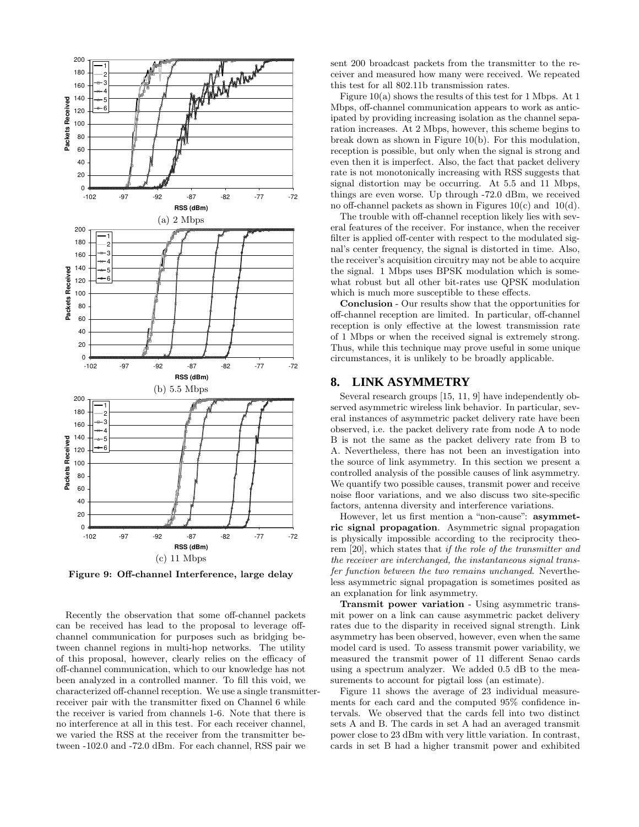

**Figure 9: Off-channel Interference, large delay**

Recently the observation that some off-channel packets can be received has lead to the proposal to leverage offchannel communication for purposes such as bridging between channel regions in multi-hop networks. The utility of this proposal, however, clearly relies on the efficacy of off-channel communication, which to our knowledge has not been analyzed in a controlled manner. To fill this void, we characterized off-channel reception. We use a single transmitterreceiver pair with the transmitter fixed on Channel 6 while the receiver is varied from channels 1-6. Note that there is no interference at all in this test. For each receiver channel, we varied the RSS at the receiver from the transmitter between -102.0 and -72.0 dBm. For each channel, RSS pair we

sent 200 broadcast packets from the transmitter to the receiver and measured how many were received. We repeated this test for all 802.11b transmission rates.

Figure  $10(a)$  shows the results of this test for 1 Mbps. At 1 Mbps, off-channel communication appears to work as anticipated by providing increasing isolation as the channel separation increases. At 2 Mbps, however, this scheme begins to break down as shown in Figure 10(b). For this modulation, reception is possible, but only when the signal is strong and even then it is imperfect. Also, the fact that packet delivery rate is not monotonically increasing with RSS suggests that signal distortion may be occurring. At 5.5 and 11 Mbps, things are even worse. Up through -72.0 dBm, we received no off-channel packets as shown in Figures 10(c) and 10(d).

The trouble with off-channel reception likely lies with several features of the receiver. For instance, when the receiver filter is applied off-center with respect to the modulated signal's center frequency, the signal is distorted in time. Also, the receiver's acquisition circuitry may not be able to acquire the signal. 1 Mbps uses BPSK modulation which is somewhat robust but all other bit-rates use QPSK modulation which is much more susceptible to these effects.

**Conclusion** - Our results show that the opportunities for off-channel reception are limited. In particular, off-channel reception is only effective at the lowest transmission rate of 1 Mbps or when the received signal is extremely strong. Thus, while this technique may prove useful in some unique circumstances, it is unlikely to be broadly applicable.

### **8. LINK ASYMMETRY**

Several research groups [15, 11, 9] have independently observed asymmetric wireless link behavior. In particular, several instances of asymmetric packet delivery rate have been observed, i.e. the packet delivery rate from node A to node B is not the same as the packet delivery rate from B to A. Nevertheless, there has not been an investigation into the source of link asymmetry. In this section we present a controlled analysis of the possible causes of link asymmetry. We quantify two possible causes, transmit power and receive noise floor variations, and we also discuss two site-specific factors, antenna diversity and interference variations.

However, let us first mention a "non-cause": **asymmetric signal propagation**. Asymmetric signal propagation is physically impossible according to the reciprocity theorem [20], which states that *if the role of the transmitter and the receiver are interchanged, the instantaneous signal transfer function between the two remains unchanged*. Nevertheless asymmetric signal propagation is sometimes posited as an explanation for link asymmetry.

**Transmit power variation** - Using asymmetric transmit power on a link can cause asymmetric packet delivery rates due to the disparity in received signal strength. Link asymmetry has been observed, however, even when the same model card is used. To assess transmit power variability, we measured the transmit power of 11 different Senao cards using a spectrum analyzer. We added 0.5 dB to the measurements to account for pigtail loss (an estimate).

Figure 11 shows the average of 23 individual measurements for each card and the computed 95% confidence intervals. We observed that the cards fell into two distinct sets A and B. The cards in set A had an averaged transmit power close to 23 dBm with very little variation. In contrast, cards in set B had a higher transmit power and exhibited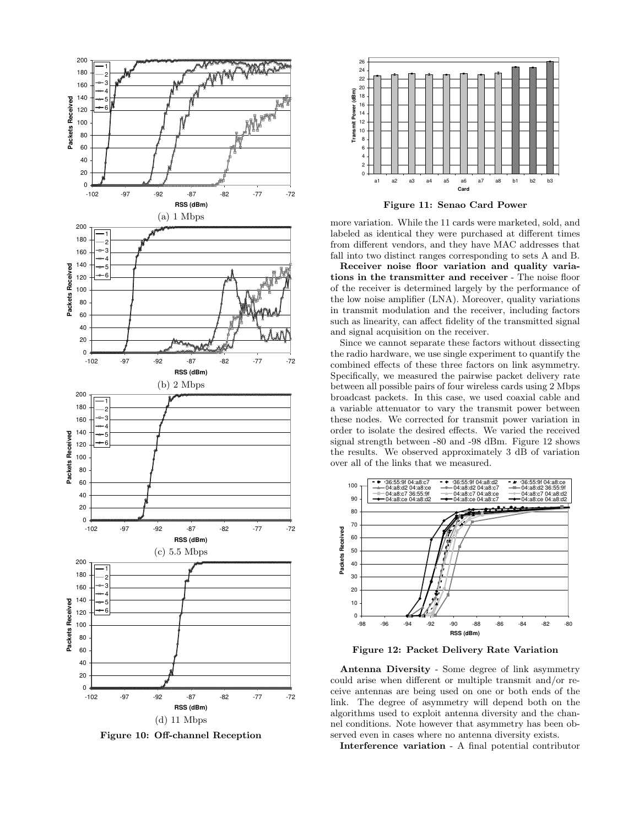

**Figure 10: Off-channel Reception**



**Figure 11: Senao Card Power**

more variation. While the 11 cards were marketed, sold, and labeled as identical they were purchased at different times from different vendors, and they have MAC addresses that fall into two distinct ranges corresponding to sets A and B.

**Receiver noise floor variation and quality variations in the transmitter and receiver** - The noise floor of the receiver is determined largely by the performance of the low noise amplifier (LNA). Moreover, quality variations in transmit modulation and the receiver, including factors such as linearity, can affect fidelity of the transmitted signal and signal acquisition on the receiver.

Since we cannot separate these factors without dissecting the radio hardware, we use single experiment to quantify the combined effects of these three factors on link asymmetry. Specifically, we measured the pairwise packet delivery rate between all possible pairs of four wireless cards using 2 Mbps broadcast packets. In this case, we used coaxial cable and a variable attenuator to vary the transmit power between these nodes. We corrected for transmit power variation in order to isolate the desired effects. We varied the received signal strength between -80 and -98 dBm. Figure 12 shows the results. We observed approximately 3 dB of variation over all of the links that we measured.



**Figure 12: Packet Delivery Rate Variation**

**Antenna Diversity** - Some degree of link asymmetry could arise when different or multiple transmit and/or receive antennas are being used on one or both ends of the link. The degree of asymmetry will depend both on the algorithms used to exploit antenna diversity and the channel conditions. Note however that asymmetry has been observed even in cases where no antenna diversity exists.

**Interference variation** - A final potential contributor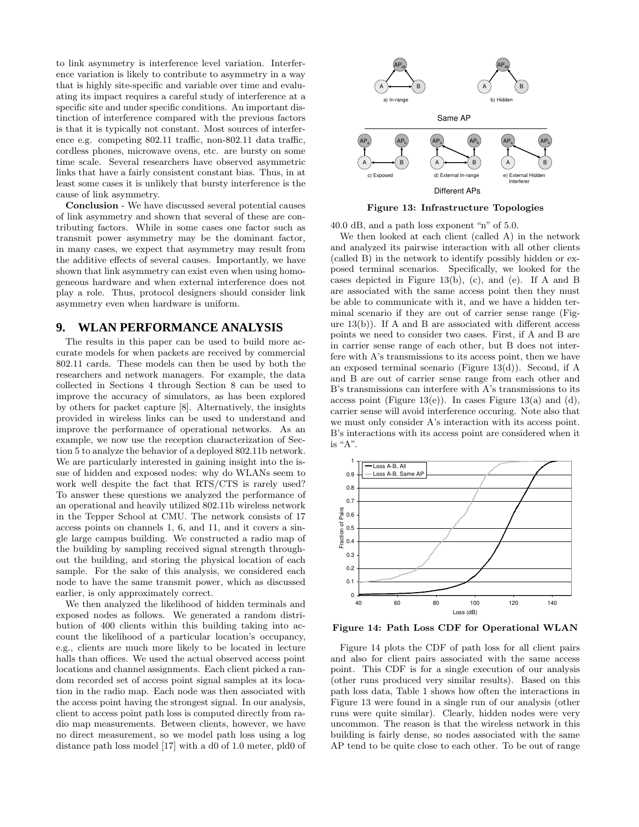to link asymmetry is interference level variation. Interference variation is likely to contribute to asymmetry in a way that is highly site-specific and variable over time and evaluating its impact requires a careful study of interference at a specific site and under specific conditions. An important distinction of interference compared with the previous factors is that it is typically not constant. Most sources of interference e.g. competing 802.11 traffic, non-802.11 data traffic, cordless phones, microwave ovens, etc. are bursty on some time scale. Several researchers have observed asymmetric links that have a fairly consistent constant bias. Thus, in at least some cases it is unlikely that bursty interference is the cause of link asymmetry.

**Conclusion** - We have discussed several potential causes of link asymmetry and shown that several of these are contributing factors. While in some cases one factor such as transmit power asymmetry may be the dominant factor, in many cases, we expect that asymmetry may result from the additive effects of several causes. Importantly, we have shown that link asymmetry can exist even when using homogeneous hardware and when external interference does not play a role. Thus, protocol designers should consider link asymmetry even when hardware is uniform.

## **9. WLAN PERFORMANCE ANALYSIS**

The results in this paper can be used to build more accurate models for when packets are received by commercial 802.11 cards. These models can then be used by both the researchers and network managers. For example, the data collected in Sections 4 through Section 8 can be used to improve the accuracy of simulators, as has been explored by others for packet capture [8]. Alternatively, the insights provided in wireless links can be used to understand and improve the performance of operational networks. As an example, we now use the reception characterization of Section 5 to analyze the behavior of a deployed 802.11b network. We are particularly interested in gaining insight into the issue of hidden and exposed nodes: why do WLANs seem to work well despite the fact that RTS/CTS is rarely used? To answer these questions we analyzed the performance of an operational and heavily utilized 802.11b wireless network in the Tepper School at CMU. The network consists of 17 access points on channels 1, 6, and 11, and it covers a single large campus building. We constructed a radio map of the building by sampling received signal strength throughout the building, and storing the physical location of each sample. For the sake of this analysis, we considered each node to have the same transmit power, which as discussed earlier, is only approximately correct.

We then analyzed the likelihood of hidden terminals and exposed nodes as follows. We generated a random distribution of 400 clients within this building taking into account the likelihood of a particular location's occupancy, e.g., clients are much more likely to be located in lecture halls than offices. We used the actual observed access point locations and channel assignments. Each client picked a random recorded set of access point signal samples at its location in the radio map. Each node was then associated with the access point having the strongest signal. In our analysis, client to access point path loss is computed directly from radio map measurements. Between clients, however, we have no direct measurement, so we model path loss using a log distance path loss model [17] with a d0 of 1.0 meter, pld0 of



**Figure 13: Infrastructure Topologies**

40.0 dB, and a path loss exponent "n" of 5.0.

We then looked at each client (called A) in the network and analyzed its pairwise interaction with all other clients (called B) in the network to identify possibly hidden or exposed terminal scenarios. Specifically, we looked for the cases depicted in Figure 13(b), (c), and (e). If A and B are associated with the same access point then they must be able to communicate with it, and we have a hidden terminal scenario if they are out of carrier sense range (Figure  $13(b)$ ). If A and B are associated with different access points we need to consider two cases. First, if A and B are in carrier sense range of each other, but B does not interfere with A's transmissions to its access point, then we have an exposed terminal scenario (Figure 13(d)). Second, if A and B are out of carrier sense range from each other and B's transmissions can interfere with A's transmissions to its access point (Figure 13(e)). In cases Figure 13(a) and (d), carrier sense will avoid interference occuring. Note also that we must only consider A's interaction with its access point. B's interactions with its access point are considered when it is "A".



**Figure 14: Path Loss CDF for Operational WLAN**

Figure 14 plots the CDF of path loss for all client pairs and also for client pairs associated with the same access point. This CDF is for a single execution of our analysis (other runs produced very similar results). Based on this path loss data, Table 1 shows how often the interactions in Figure 13 were found in a single run of our analysis (other runs were quite similar). Clearly, hidden nodes were very uncommon. The reason is that the wireless network in this building is fairly dense, so nodes associated with the same AP tend to be quite close to each other. To be out of range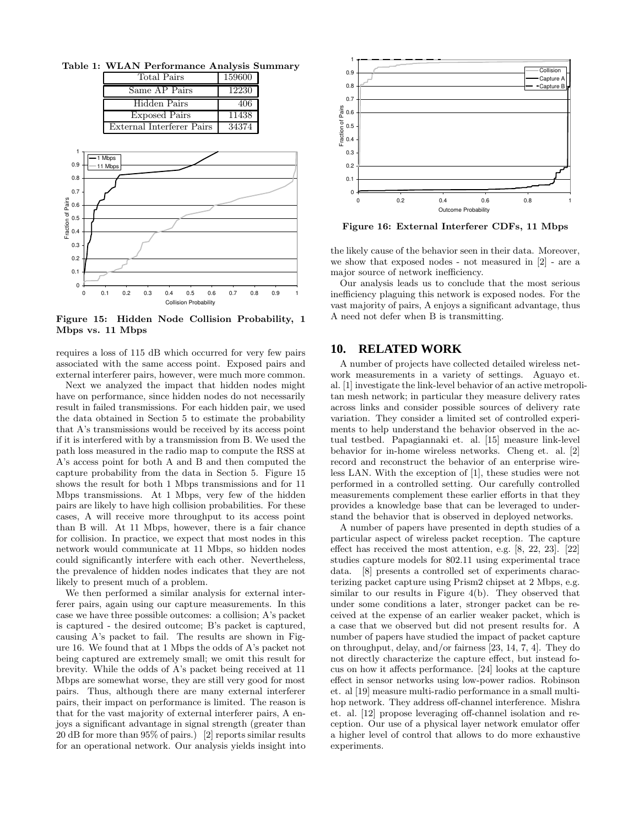**Table 1: WLAN Performance Analysis Summary**

| Total Pairs               | 159600 |
|---------------------------|--------|
| Same AP Pairs             | 12230  |
| Hidden Pairs              | 406    |
| <b>Exposed Pairs</b>      | 11438  |
| External Interferer Pairs | 34374  |



**Figure 15: Hidden Node Collision Probability, 1 Mbps vs. 11 Mbps**

requires a loss of 115 dB which occurred for very few pairs associated with the same access point. Exposed pairs and external interferer pairs, however, were much more common.

Next we analyzed the impact that hidden nodes might have on performance, since hidden nodes do not necessarily result in failed transmissions. For each hidden pair, we used the data obtained in Section 5 to estimate the probability that A's transmissions would be received by its access point if it is interfered with by a transmission from B. We used the path loss measured in the radio map to compute the RSS at A's access point for both A and B and then computed the capture probability from the data in Section 5. Figure 15 shows the result for both 1 Mbps transmissions and for 11 Mbps transmissions. At 1 Mbps, very few of the hidden pairs are likely to have high collision probabilities. For these cases, A will receive more throughput to its access point than B will. At 11 Mbps, however, there is a fair chance for collision. In practice, we expect that most nodes in this network would communicate at 11 Mbps, so hidden nodes could significantly interfere with each other. Nevertheless, the prevalence of hidden nodes indicates that they are not likely to present much of a problem.

We then performed a similar analysis for external interferer pairs, again using our capture measurements. In this case we have three possible outcomes: a collision; A's packet is captured - the desired outcome; B's packet is captured, causing A's packet to fail. The results are shown in Figure 16. We found that at 1 Mbps the odds of A's packet not being captured are extremely small; we omit this result for brevity. While the odds of A's packet being received at 11 Mbps are somewhat worse, they are still very good for most pairs. Thus, although there are many external interferer pairs, their impact on performance is limited. The reason is that for the vast majority of external interferer pairs, A enjoys a significant advantage in signal strength (greater than 20 dB for more than 95% of pairs.) [2] reports similar results for an operational network. Our analysis yields insight into



**Figure 16: External Interferer CDFs, 11 Mbps**

the likely cause of the behavior seen in their data. Moreover, we show that exposed nodes - not measured in [2] - are a major source of network inefficiency.

Our analysis leads us to conclude that the most serious inefficiency plaguing this network is exposed nodes. For the vast majority of pairs, A enjoys a significant advantage, thus A need not defer when B is transmitting.

### **10. RELATED WORK**

A number of projects have collected detailed wireless network measurements in a variety of settings. Aguayo et. al. [1] investigate the link-level behavior of an active metropolitan mesh network; in particular they measure delivery rates across links and consider possible sources of delivery rate variation. They consider a limited set of controlled experiments to help understand the behavior observed in the actual testbed. Papagiannaki et. al. [15] measure link-level behavior for in-home wireless networks. Cheng et. al. [2] record and reconstruct the behavior of an enterprise wireless LAN. With the exception of [1], these studies were not performed in a controlled setting. Our carefully controlled measurements complement these earlier efforts in that they provides a knowledge base that can be leveraged to understand the behavior that is observed in deployed networks.

A number of papers have presented in depth studies of a particular aspect of wireless packet reception. The capture effect has received the most attention, e.g. [8, 22, 23]. [22] studies capture models for 802.11 using experimental trace data. [8] presents a controlled set of experiments characterizing packet capture using Prism2 chipset at 2 Mbps, e.g. similar to our results in Figure 4(b). They observed that under some conditions a later, stronger packet can be received at the expense of an earlier weaker packet, which is a case that we observed but did not present results for. A number of papers have studied the impact of packet capture on throughput, delay, and/or fairness [23, 14, 7, 4]. They do not directly characterize the capture effect, but instead focus on how it affects performance. [24] looks at the capture effect in sensor networks using low-power radios. Robinson et. al [19] measure multi-radio performance in a small multihop network. They address off-channel interference. Mishra et. al. [12] propose leveraging off-channel isolation and reception. Our use of a physical layer network emulator offer a higher level of control that allows to do more exhaustive experiments.